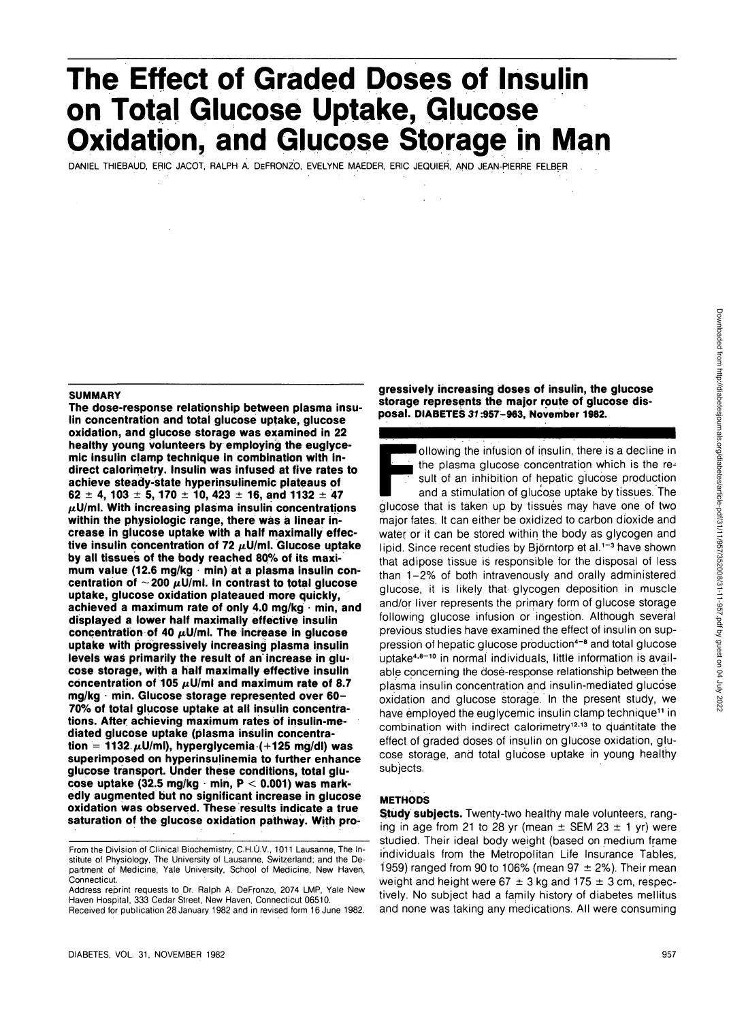# **The Effect of Graded Doses of Insulin on Total Glucose Uptake, Glucose Oxidation, and Glucose Storage in Man**

DANIEL THIEBAUD, ERIC JACOT, RALPH A. DEFRONZO, EVELYNE MAEDER, ERIC JEQUIER, AND JEAN-PIERRE FELBER

#### **SUMMARY**

**The dose-response relationship between plasma insulin concentration and total glucose uptake, glucose oxidation, and glucose storage was examined in 22 healthy young volunteers by employing the euglycemic insulin clamp technique in combination with indirect calorimetry. Insulin was infused at five rates to achieve steady-state hyperinsulinemic plateaus of 62 ± 4, 103 ± 5, 170 ± 10, 423 ± 16, and 1132 ± 47 /xU/ml. With increasing plasma insulin concentrations within the physiologic range, there was a linear increase in glucose uptake with a half maximally effec**tive insulin concentration of 72  $\mu$ U/ml. Glucose uptake **by all tissues of the body reached 80% of its maximum value (12.6 mg/kg • min) at a plasma insulin con**centration of  $\sim$  200  $\mu$ U/ml. In contrast to total glucose **uptake, glucose oxidation plateaued more quickly, achieved a maximum rate of only 4.0 mg/kg • min, and displayed a lower half maximally effective insulin** concentration of 40  $\mu$ U/ml. The increase in glucose **uptake with progressively increasing plasma insulin levels was primarily the result of an increase in glucose storage, with a half maximally effective insulin** concentration of 105  $\mu$ U/ml and maximum rate of 8.7 **mg/kg • min. Glucose storage represented over 60- 70% of total glucose uptake at all insulin concentrations. After achieving maximum rates of insulin-mediated glucose uptake (plasma insulin concentra** $tion = 1132 \mu U/ml$ , hyperglycemia (+125 mg/dl) was **superimposed on hyperinsulinemia to further enhance glucose transport. Under these conditions, total glucose uptake (32.5 mg/kg • min, P < 0.001) was markedly augmented but no significant increase in glucose oxidation was observed. These results indicate a true saturation of the glucose oxidation pathway. With pro-**

Address reprint requests to Dr. Ralph A. DeFronzo, 2074 LMP, Yale New Haven Hospital, 333 Cedar Street, New Haven, Connecticut 06510. Received for publication 28 January 1982 and in revised form 16 June 1982.

**gressively increasing doses of insulin, the glucose storage represents the major route of glucose disposal. DIABETES 31:957-963, November 1982.**

I ollowing the infusion of insulin, there is a decline in the plasma glucose concentration which is the result of an inhibition of hepatic glucose production and a stimulation of glucose uptake by tissues. The

glucose that is taken up by tissues may have one of two major fates. It can either be oxidized to carbon dioxide and water or it can be stored within the body as glycogen and lipid. Since recent studies by Björntorp et al.<sup>1-3</sup> have shown that adipose tissue is responsible for the disposal of less than 1-2% of both intravenously and orally administered glucose, it is likely that glycogen deposition in muscle and/or liver represents the primary form of glucose storage following glucose infusion or ingestion. Although several previous studies have examined the effect of insulin on suppression of hepatic glucose production<sup>4-8</sup> and total glucose uptake<sup>4,8-10</sup> in normal individuals, little information is available concerning the dose-response relationship between the plasma insulin concentration and insulin-mediated glucose oxidation and glucose storage. In the present study, we have employed the euglycemic insulin clamp technique<sup>11</sup> in combination with indirect calorimetry<sup>12,13</sup> to quantitate the effect of graded doses of insulin on glucose oxidation, glucose storage, and total glucose uptake in young healthy subjects.

## **METHODS**

**Study subjects.** Twenty-two healthy male volunteers, ranging in age from 21 to 28 yr (mean  $\pm$  SEM 23  $\pm$  1 yr) were studied. Their ideal body weight (based on medium frame individuals from the Metropolitan Life Insurance Tables, 1959) ranged from 90 to 106% (mean 97  $\pm$  2%). Their mean weight and height were  $67 \pm 3$  kg and  $175 \pm 3$  cm, respectively. No subject had a family history of diabetes mellitus and none was taking any medications. All were consuming

From the Division of Clinical Biochemistry, C.H.O.V., 1011 Lausanne, The Institute of Physiology, The University of Lausanne, Switzerland; and the Department of Medicine, Yale University, School of Medicine, New Haven, Connecticut.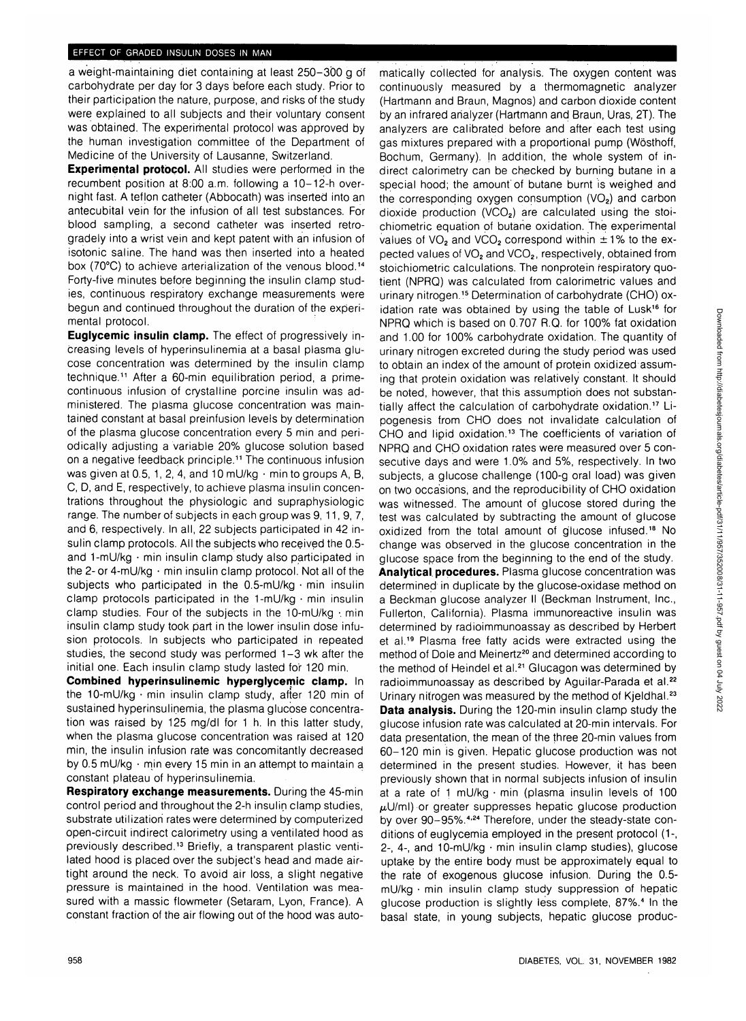## EFFECT OF GRADED INSULIN DOSES IN MAN

a weight-maintaining diet containing at least 250-300 g of carbohydrate per day for 3 days before each study. Prior to their participation the nature, purpose, and risks of the study were explained to all subjects and their voluntary consent was obtained. The experimental protocol was approved by the human investigation committee of the Department of Medicine of the University of Lausanne, Switzerland.

**Experimental protocol.** All studies were performed in the recumbent position at 8:00 a.m. following a 10-12-h overnight fast. A tefjon catheter (Abbocath) was inserted into an antecubital vein for the infusion of all test substances. For blood sampling, a second catheter was inserted retrogradely into a wrist vein and kept patent with an infusion of isotonic saline. The hand was then inserted into a heated box (70°C) to achieve arterialization of the venous blood.<sup>14</sup> Forty-five minutes before beginning the insulin clamp studies, continuous respiratory exchange measurements were begun and continued throughout the duration of the experimental protocol.

**Euglycemic insulin clamp.** The effect of progressively increasing levels of hyperinsulinemia at a basal plasma glucose concentration was determined by the insulin clamp technique.<sup>11</sup> After a 60-min equilibration period, a primecontinuous infusion of crystalline porcine insulin was administered. The plasma glucose concentration was maintained constant at basal preinfusion levels by determination of the plasma glucose concentration every 5 min and periodically adjusting a variable 20% glucose solution based on a negative feedback principle.<sup>11</sup> The continuous infusion was given at 0.5, 1, 2, 4, and 10 mU/kg  $\cdot$  min to groups A, B, C, D, and E, respectively, to achieve plasma insulin concentrations throughout the physiologic and supraphysiologic range. The number of subjects in each group was 9, 11, 9, 7, and 6, respectively. In all, 22 subjects participated in 42 insulin clamp protocols. All the subjects who received the 0.5 and 1-mU/kg  $\cdot$  min insulin clamp study also participated in the 2- or 4-mU/kg  $\cdot$  min insulin clamp protocol. Not all of the subjects who participated in the  $0.5\text{-}mU/kg \cdot \text{min}$  insulin clamp protocols participated in the 1-mU/kg  $\cdot$  min insulin clamp studies. Four of the subjects in the 10-mU/kg  $\cdot$  min insulin clamp study took part in the lower insulin dose infusion protocols. In subjects who participated in repeated studies, the second study was performed 1-3 wk after the initial one. Each insulin clamp study lasted for 120 min.

**Combined hyperinsulinemic hyperglycemic clamp.** In the 10-mU/kg  $\cdot$  min insulin clamp study, after 120 min of sustained hyperinsulinemia, the plasma glucose concentration was raised by 125 mg/dl for 1 h. In this latter study, when the plasma glucose concentration was raised at 120 min, the insulin infusion rate was concomitantly decreased by 0.5 mU/kg • min every 15 min in an attempt to maintain a constant plateau of hyperinsulinemia.

**Respiratory exchange measurements.** During the 45-min control period and throughout the 2-h insulin clamp studies, substrate utilization rates were determined by computerized open-circuit indirect calorimetry using a ventilated hood as previously described.<sup>13</sup> Briefly, a transparent plastic ventilated hood is placed over the subject's head and made airtight around the neck. To avoid air loss, a slight negative pressure is maintained in the hood. Ventilation was measured with a massic flowmeter (Setaram, Lyon, France). A constant fraction of the air flowing out of the hood was automatically collected for analysis. The oxygen content was continuously measured by a thermomagnetic analyzer (Hartmann and Braun, Magnos) and carbon dioxide content by an infrared analyzer (Hartmann and Braun, Uras, 2T). The analyzers are calibrated before and after each test using gas mixtures prepared with a proportional pump (Wosthoff, Bochum, Germany). In addition, the whole system of indirect calorimetry can be checked by burning butane in a special hood; the amount'of butane burnt is weighed and the corresponding oxygen consumption  $(VO<sub>2</sub>)$  and carbon dioxide production  $(VCO<sub>2</sub>)$  are calculated using the stoichiometric equation of butane oxidation. The experimental values of VO<sub>2</sub> and VCO<sub>2</sub> correspond within  $\pm$  1% to the expected values of VO<sub>2</sub> and VCO<sub>2</sub>, respectively, obtained from stoichiometric calculations. The nonprotein respiratory quotient (NPRQ) was calculated from calorimetric values and urinary nitrogen.<sup>15</sup> Determination of carbohydrate (CHO) oxidation rate was obtained by using the table of Lusk<sup>16</sup> for NPRQ which is based on 0.707 R.Q. for 100% fat oxidation and 1.00 for 100% carbohydrate oxidation. The quantity of urinary nitrogen excreted during the study period was used to obtain an index of the amount of protein oxidized assuming that protein oxidation was relatively constant. It should be noted, however, that this assumption does not substantially affect the calculation of carbohydrate oxidation.<sup>17</sup> Lipogenesis from CHO does not invalidate calculation of CHO and lipid oxidation.<sup>13</sup> The coefficients of variation of NPRQ and CHO oxidation rates were measured over 5 consecutive days and were 1.0% and 5%, respectively. In two subjects, a glucose challenge (100-g oral load) was given on two occasions, and the reproducibility of CHO oxidation was witnessed. The amount of glucose stored during the test was calculated by subtracting the amount of glucose oxidized from the total amount of glucose infused.<sup>18</sup> No change was observed in the glucose concentration in the glucose space from the beginning to the end of the study. **Analytical.procedures.** Plasma glucose concentration was determined in duplicate by the glucose-oxidase method on a Beckman glucose analyzer II (Beckman Instrument, Inc., Fullerton, California). Plasma immunoreactive insulin was determined by radioimmunoassay as described by Herbert et al.<sup>19</sup> Plasma free fatty acids were extracted using the of and that these large accounts of the complete thing in the distribution of Dole and Meinertz<sup>20</sup> and determined according to the method of Heindel et al.<sup>21</sup> Glucagon was determined by radioimmunoassay as described by Aguilar-Parada et al.<sup>22</sup> Urinary nitrogen was measured by the method of Kjeldhal.<sup>23</sup> **Data analysis.** During the 120-min insulin clamp study the glucose infusion rate was calculated at20-min intervals. For data presentation, the mean of the three 20-min values from 60-120 min is given. Hepatic glucose production was not determined in the present studies. However, it has been previously shown that in normal subjects infusion of insulin at a rate of 1 mU/kg • min (plasma insulin levels of 100  $\mu$ U/ml) or greater suppresses hepatic glucose production by over 90-95%.4i24 Therefore, under the steady-state conditions of euglycemia employed in the present protocol (1-, 2-, 4-, and 10-mU/kg • min insulin clamp studies), glucose uptake by the entire body must be approximately equal to the rate of exogenous glucose infusion. During the 0.5 mU/kg • min insulin clamp study suppression of hepatic mong minimizant stamp stas) suppression of hopate basal state, in young subjects, hepatic glucose produc-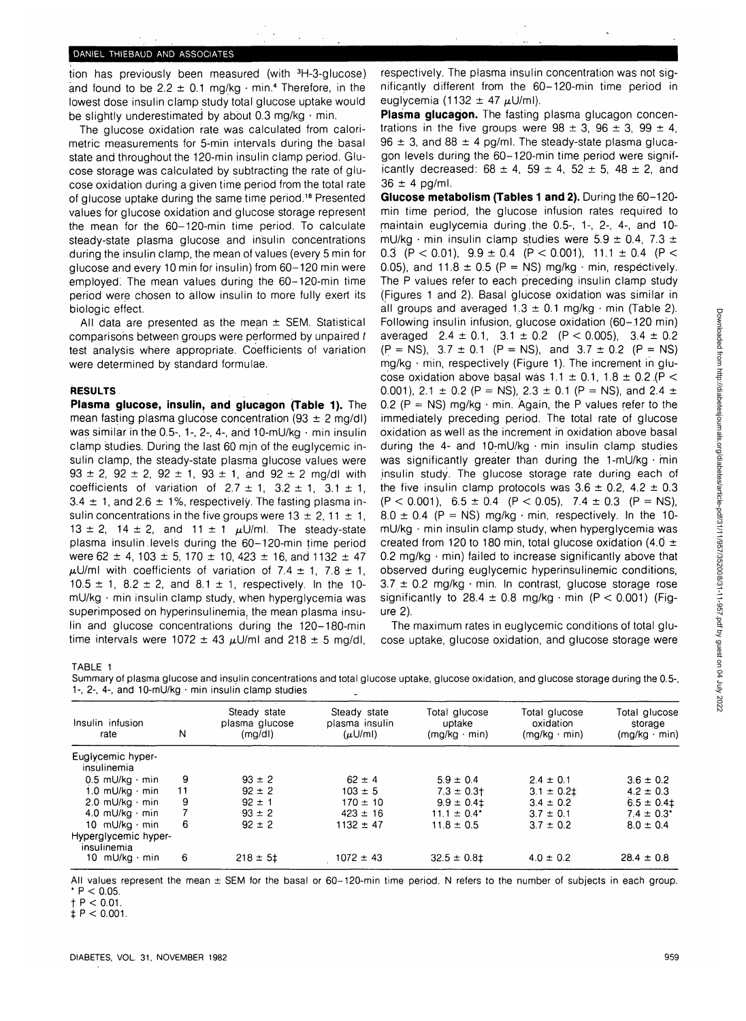# DANIEL THIEBAUD AND ASSOCIATES

tion has previously been measured (with 3H-3-glucose) and found to be  $2.2 \pm 0.1$  mg/kg  $\cdot$  min.<sup>4</sup> Therefore, in the lowest dose insulin clamp study total glucose uptake would be slightly underestimated by about 0.3 mg/kg  $\cdot$  min.

The glucose oxidation rate was calculated from calorimetric measurements for 5-min intervals during the basal state and throughout the 120-min insulin clamp period. Glucose storage was calculated by subtracting the rate of glucose oxidation during a given time period from the total rate of glucose uptake during the same time period.<sup>18</sup> Presented values for glucose oxidation and glucose storage represent the mean for the 60-120-min time period. To calculate steady-state plasma glucose and insulin concentrations during the insulin clamp, the mean of values (every 5 min for glucose and every 10 min for insulin) from 60-120 min were employed: The mean values during the 60-120-min time period were chosen to allow insulin to more fully exert its biologic effect.

All data are presented as the mean  $\pm$  SEM. Statistical comparisons between groups were performed by unpaired t test analysis where appropriate. Coefficients of variation were determined by standard formulae.

#### **RESULTS**

**Plasma glucose, insulin, and glucagon (Table 1).** The mean fasting plasma glucose concentration (93  $\pm$  2 mg/dl) was similar in the 0.5-, 1-, 2-, 4-, and 10-mU/kg  $\cdot$  min insulin clamp studies. During the last 60 min of the euglycemic insulin clamp, the steady-state plasma glucose values were  $93 \pm 2$ ,  $92 \pm 2$ ,  $92 \pm 1$ ,  $93 \pm 1$ , and  $92 \pm 2$  mg/dl with coefficients of variation of  $2.7 \pm 1$ ,  $3.2 \pm 1$ ,  $3.1 \pm 1$ ,  $3.4 \pm 1$ , and  $2.6 \pm 1$ %, respectively. The fasting plasma insulin concentrations in the five groups were  $13 \pm 2$ ,  $11 \pm 1$ , 13  $\pm$  2, 14  $\pm$  2, and 11  $\pm$  1  $\mu$ U/ml. The steady-state plasma insulin.levels during the 60-120-min time period were 62  $\pm$  4, 103  $\pm$  5, 170  $\pm$  10, 423  $\pm$  16, and 1132  $\pm$  47  $\mu$ U/ml with coefficients of variation of 7.4  $\pm$  1, 7.8  $\pm$  1, 10.5  $\pm$  1, 8.2  $\pm$  2, and 8.1  $\pm$  1, respectively. In the 10 $mU/kg + m$ in insulin clamp study, when hyperglycemia was superimposed on hyperinsulinemia, the mean plasma insulin and glucose concentrations during the 120-180-min time intervals were 1072  $\pm$  43  $\mu$ U/ml and 218  $\pm$  5 mg/dl,

respectively. The plasma insulin concentration was not significantly different from the 60-120-min time period in euglycemia (1132  $\pm$  47  $\mu$ U/ml).

**Plasma glucagon.** The fasting plasma glucagon concentrations in the five groups were  $98 \pm 3$ ,  $96 \pm 3$ ,  $99 \pm 4$ ,  $96 \pm 3$ , and  $88 \pm 4$  pg/ml. The steady-state plasma glucagon levels during the 60-120-min time period were significantly decreased:  $68 \pm 4$ ,  $59 \pm 4$ ,  $52 \pm 5$ ,  $48 \pm 2$ , and  $36 \pm 4$  pg/ml.

**Glucose metabolism (Tables 1 and 2).** During the 60-120 min time period, the glucose infusion rates required to maintain euglycemia during.the 0.5-, 1-, 2-, 4-, and 10 mU/kg · min insulin clamp studies were  $5.9 \pm 0.4$ ,  $7.3 \pm 1$ 0.3 (P < 0.01),  $9.9 \pm 0.4$  (P < 0.001),  $11.1 \pm 0.4$  (P < 0.05), and 11.8  $\pm$  0.5 (P = NS) mg/kg  $\cdot$  min, respectively. The P values refer to each preceding insulin clamp study (Figures 1 and 2). Basal glucose oxidation was similar in all groups and averaged  $1.3 \pm 0.1$  mg/kg  $\cdot$  min (Table 2). Following insulin infusion, glucose oxidation (60-120 min) averaged  $2.4 \pm 0.1$ ,  $3.1 \pm 0.2$  (P < 0.005),  $3.4 \pm 0.2$  $(P = NS)$ ,  $3.7 \pm 0.1$   $(P = NS)$ , and  $3.7 \pm 0.2$   $(P = NS)$ mg/kg • min, respectively (Figure 1). The increment in glucose oxidation above basal was  $1.1 \pm 0.1$ ,  $1.8 \pm 0.2$  (P < 0.001), 2.1  $\pm$  0.2 (P = NS), 2.3  $\pm$  0.1 (P = NS), and 2.4  $\pm$ 0.2 ( $P = NS$ ) mg/kg  $\cdot$  min. Again, the P values refer to the immediately preceding period. The total rate of glucose oxidation as well as the increment in oxidation above basal during the 4- and 10-mU/kg  $\cdot$  min insulin clamp studies was significantly greater than during the 1-mU/kg  $\cdot$  min insulin study. The glucose storage rate during each of the five insulin clamp protocols was  $3.6 \pm 0.2$ ,  $4.2 \pm 0.3$  $(P < 0.001)$ ,  $6.5 \pm 0.4$   $(P < 0.05)$ ,  $7.4 \pm 0.3$   $(P = NS)$ ,  $8.0 \pm 0.4$  (P = NS) mg/kg · min, respectively. In the 10mU/kg • min insulin clamp study, when hyperglycemia was created from 120 to 180 min, total glucose oxidation (4.0  $\pm$ 0.2 mg/kg $\cdot$  min) failed to increase significantly above that observed during euglycemic hyperinsulinemic conditions,  $3.7 \pm 0.2$  mg/kg  $\cdot$  min. In contrast, glucose storage rose significantly to  $28.4 \pm 0.8$  mg/kg  $\cdot$  min (P < 0.001) (Figure 2).

The maximum rates in euglycemic conditions of total glucose uptake, glucose oxidation, and glucose storage were

TABLE 1

Summary of plasma glucose and insulin concentrations and total glucose uptake, glucose oxidation, and glucose storage during the 0.5-, 1-, 2-, 4-, and 10-mU/kg • min insulin clamp studies

| Insulin infusion<br>rate            | N  | Steady state<br>plasma glucose<br>(mg/d) | Steady state<br>plasma insulin<br>$(\mu U/m)$ | Total glucose<br>uptake<br>$(mq/kg \cdot min)$ | Total glucose<br>oxidation<br>$(mq/kg \cdot min)$ | Total glucose<br>storage<br>$(mg/kg \cdot min)$ |
|-------------------------------------|----|------------------------------------------|-----------------------------------------------|------------------------------------------------|---------------------------------------------------|-------------------------------------------------|
| Euglycemic hyper-<br>insulinemia    |    |                                          |                                               |                                                |                                                   |                                                 |
| $0.5$ mU/kg $\cdot$ min             | 9  | $93 \pm 2$                               | $62 \pm 4$                                    | $5.9 \pm 0.4$                                  | $2.4 \pm 0.1$                                     | $3.6 \pm 0.2$                                   |
| 1.0 mU/kg · min                     | 11 | $92 \pm 2$                               | $103 \pm 5$                                   | $7.3 \pm 0.3$ t                                | $3.1 \pm 0.21$                                    | $4.2 \pm 0.3$                                   |
| $2.0$ mU/kg $\cdot$ min             | 9  | $92 \pm 1$                               | $170 \pm 10$                                  | $9.9 \pm 0.41$                                 | $3.4 \pm 0.2$                                     | $6.5 \pm 0.41$                                  |
| 4.0 mU/kg $\cdot$ min               |    | $93 \pm 2$                               | $423 \pm 16$                                  | 11.1 $\pm$ 0.4*                                | $3.7 \pm 0.1$                                     | $7.4 \pm 0.3^*$                                 |
| 10 mU/kg $\cdot$ min                | 6  | $92 \pm 2$                               | $1132 \pm 47$                                 | $11.8 \pm 0.5$                                 | $3.7 \pm 0.2$                                     | $8.0 \pm 0.4$                                   |
| Hyperglycemic hyper-<br>insulinemia |    |                                          |                                               |                                                |                                                   |                                                 |
| 10 $mU/kg \cdot min$                | 6  | $218 \pm 51$                             | $1072 \pm 43$                                 | $32.5 \pm 0.81$                                | $4.0 \pm 0.2$                                     | $28.4 \pm 0.8$                                  |

All values represent the mean ± SEM for the basal or 60-120-min time period. N refers to the number of subjects in each group.  $*$  P < 0.05

 $t P < 0.01$ .

 $\ddagger$  P < 0.001.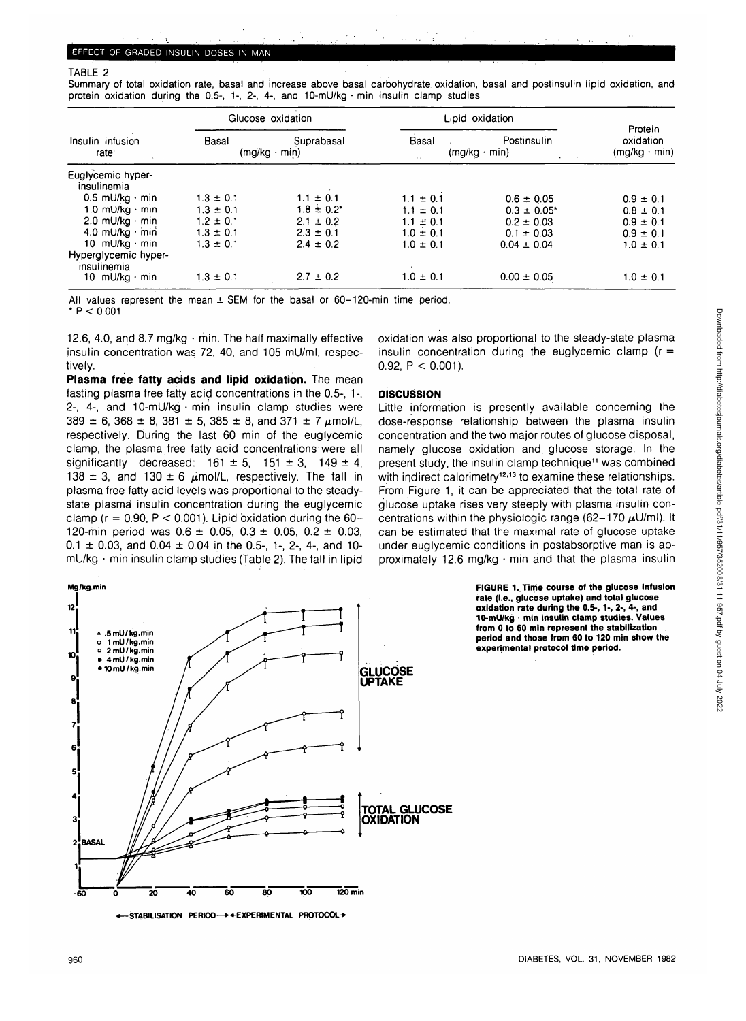## TABLE 2

Summary of total oxidation rate, basal and increase above basal carbohydrate oxidation, basal and postinsulin lipid oxidation, and protein oxidation during the 0.5-, 1-, 2-, 4-, and 10-mU/kg  $\cdot$  min insulin clamp studies

|                                       |               | Glucose oxidation                 | Lipid oxidation |                                    |                                             |
|---------------------------------------|---------------|-----------------------------------|-----------------|------------------------------------|---------------------------------------------|
| Insulin infusion<br>rate <sup>-</sup> | Basal         | Suprabasal<br>$(mg/kg \cdot min)$ | Basal           | Postinsulin<br>$(mg/kg \cdot min)$ | Protein<br>oxidation<br>$(mg/kg \cdot min)$ |
| Euglycemic hyper-<br>insulinemia      |               |                                   |                 |                                    |                                             |
| $0.5$ mU/kg $\cdot$ min               | $1.3 \pm 0.1$ | $1.1 \pm 0.1$                     | $1.1 \pm 0.1$   | $0.6 \pm 0.05$                     | $0.9 \pm 0.1$                               |
| 1.0 mU/kg $\cdot$ min                 | $1.3 \pm 0.1$ | $1.8 \pm 0.2^*$                   | $1.1 \pm 0.1$   | $0.3 \pm 0.05$ *                   | $0.8 \pm 0.1$                               |
| 2.0 mU/kg $\cdot$ min                 | $1.2 \pm 0.1$ | $2.1 \pm 0.2$                     | $1.1 \pm 0.1$   | $0.2 \pm 0.03$                     | $0.9 \pm 0.1$                               |
| 4.0 mU/kg · min                       | $1.3 \pm 0.1$ | $2.3 \pm 0.1$                     | $1.0 \pm 0.1$   | $0.1 \pm 0.03$                     | $0.9 \pm 0.1$                               |
| 10 mU/kg $\cdot$ min                  | $1.3 \pm 0.1$ | $2.4 \pm 0.2$                     | $1.0 \pm 0.1$   | $0.04 \pm 0.04$                    | $1.0 \pm 0.1$                               |
| Hyperglycemic hyper-<br>insulinemia   |               |                                   |                 |                                    |                                             |
| 10 mU/kg · min                        | $1.3 \pm 0.1$ | $2.7 \pm 0.2$                     | $1.0 \pm 0.1$   | $0.00 \pm 0.05$                    | $1.0 \pm 0.1$                               |

All values represent the mean  $\pm$  SEM for the basal or 60-120-min time period.  $* P < 0.001$ .

12.6, 4.0, and 8.7 mg/kg • min. The half maximally effective insulin concentration was 72, 40, and 105 mU/ml, respectively.

**Plasma free fatty acids and lipid oxidation.** The mean fasting plasma free fatty acid concentrations in the 0.5-, 1-, 2-, 4-, and 10-mU/kg • min insulin clamp studies were  $389 \pm 6$ ,  $368 \pm 8$ ,  $381 \pm 5$ ,  $385 \pm 8$ , and  $371 \pm 7$   $\mu$ mol/L, respectively. During the last 60 min of the euglycemic clamp, the plasma free fatty acid concentrations were all significantly decreased:  $161 \pm 5$ ,  $151 \pm 3$ ,  $149 \pm 4$ , 138  $\pm$  3, and 130  $\pm$  6  $\mu$ mol/L, respectively. The fall in plasma free fatty acid levels was proportional to the steadystate plasma insulin concentration during the euglycemic clamp ( $r = 0.90$ ,  $P < 0.001$ ). Lipid oxidation during the 60-120-min period was  $0.6 \pm 0.05$ ,  $0.3 \pm 0.05$ ,  $0.2 \pm 0.03$ ,  $0.1 \pm 0.03$ , and  $0.04 \pm 0.04$  in the 0.5-, 1-, 2-, 4-, and 10mU/kg • min insulin clamp studies (Table 2). The fall in lipid

oxidation was also proportional to the steady-state plasma insulin concentration during the euglycemic clamp  $(r =$ 0.92,  $P < 0.001$ ).

## **DISCUSSION**

Little information is presently available concerning the dose-response relationship between the plasma insulin concentration and the two major routes of glucose disposal, namely glucose oxidation and. glucose storage. In the present study, the insulin clamp technique<sup>11</sup> was combined with indirect calorimetry<sup>12,13</sup> to examine these relationships. From Figure 1, it can be appreciated that the total rate of glucose uptake rises very steeply with plasma insulin concentrations within the physiologic range  $(62-170 \mu U/m)$ . It can be estimated that the maximal rate of glucose uptake under euglycemic conditions in postabsorptive man is approximately 12.6 mg/kg • min and that the plasma insulin



**«— STABILISATION PERIOO—••EXPERIMENTAL PROTOCOL\***

**FIGURE 1. Time course of the glucose infusion rate (i.e., glucose uptake) and total glucose oxidation rate during the 0.5-, 1-, 2-, 4-, and 10-mU/kg • min insulin clamp studies. Values from 0 to 60 min represent the stabilization period and those from 60 to 120 min show the experimental protocol time period.**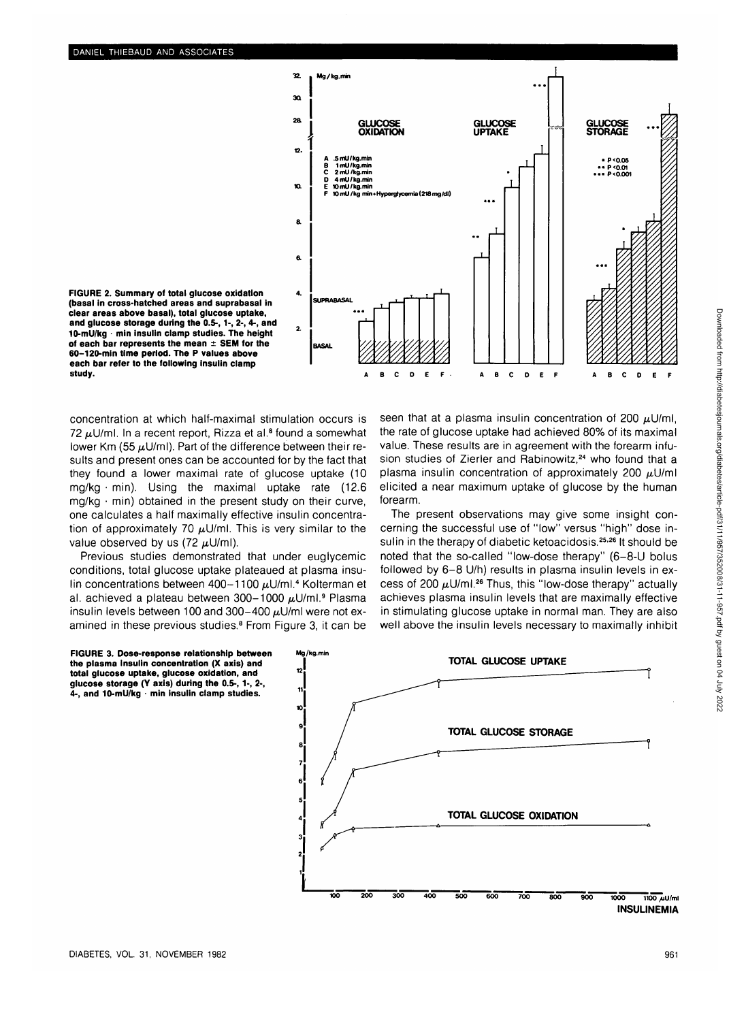

**FIGURE 2. Summary of total glucose oxidation (basal in cross-hatched areas and suprabasal in clear areas above basal), total glucose uptake, and glucose storage during the 0.5-, 1-, 2-, 4-, and 10-mU/kg - min insulin clamp studies. The height of each bar represents the mean ± SEM for the 60-120-min time period. The P values above each bar refer to the following insulin clamp study.**

concentration at which half-maximal stimulation occurs is 72  $\mu$ U/ml. In a recent report, Rizza et al.<sup>8</sup> found a somewhat lower Km (55  $\mu$ U/ml). Part of the difference between their results and present ones can be accounted for by the fact that they found a lower maximal rate of glucose uptake (10  $mg/kg \cdot min$ ). Using the maximal uptake rate (12.6) mg/kg • min) obtained in the present study on their curve, one calculates a half maximally effective insulin concentration of approximately 70  $\mu$ U/ml. This is very similar to the value observed by us (72  $\mu$ U/ml).

Previous studies demonstrated that under euglycemic conditions, total glucose uptake plateaued at plasma insulin concentrations between 400-1100  $\mu$ U/ml.<sup>4</sup> Kolterman et al. achieved a plateau between 300-1000 µU/ml.<sup>9</sup> Plasma insulin levels between 100 and 300-400  $\mu$ U/ml were not examined in these previous studies.<sup>8</sup> From Figure 3, it can be

seen that at a plasma insulin concentration of 200  $\mu$ U/ml, the rate of glucose uptake had achieved 80% of its maximal value. These results are in agreement with the forearm infusion studies of Zierler and Rabinowitz,<sup>24</sup> who found that a plasma insulin concentration of approximately 200  $\mu$ U/ml elicited a near maximum uptake of glucose by the human forearm.

The present observations may give some insight concerning the successful use of "low" versus "high" dose insulin in the therapy of diabetic ketoacidosis.<sup>25,26</sup> It should be noted that the so-called "low-dose therapy" (6-8-U bolus followed by 6-8 U/h) results in plasma insulin levels in excess of 200  $\mu$ U/ml.<sup>26</sup> Thus, this "low-dose therapy" actually achieves plasma insulin levels that are maximally effective in stimulating glucose uptake in normal man. They are also well above the insulin levels necessary to maximally inhibit

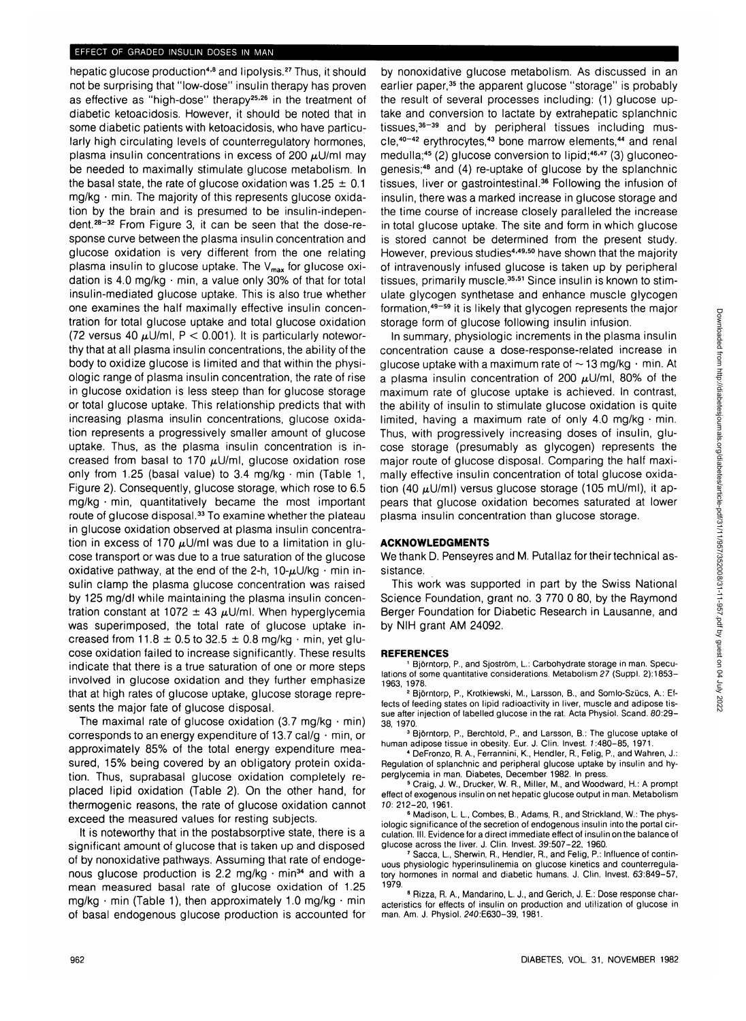## EFFECT OF GRADED INSULIN DOSES IN MAN

hepatic glucose production<sup>4,8</sup> and lipolysis.<sup>27</sup> Thus, it should not be surprising that "low-dose" insulin therapy has proven as effective as "high-dose" therapy<sup>25,26</sup> in the treatment of diabetic ketoacidosis. However, it should be noted that in some diabetic patients with ketoacidosis, who have particularly high circulating levels of counterregulatory hormones, plasma insulin concentrations in excess of 200  $\mu$ U/ml may be needed to maximally stimulate glucose metabolism. In the basal state, the rate of glucose oxidation was  $1.25 \pm 0.1$  $mg/kg + min$ . The majority of this represents glucose oxidation by the brain and is presumed to be insulin-independent.<sup>28-32</sup> From Figure 3, it can be seen that the dose-response curve between the plasma insulin concentration and glucose oxidation is very different from the one relating plasma insulin to glucose uptake. The  $V_{\text{max}}$  for glucose oxidation is 4.0 mg/kg • min, a value only 30% of that for total insulin-mediated glucose uptake. This is also true whether one examines the half maximally effective insulin concentration for total glucose uptake and total glucose oxidation (72 versus 40  $\mu$ U/ml, P < 0.001). It is particularly noteworthy that at all plasma insulin concentrations, the ability of the body to oxidize glucose is limited and that within the physiologic range of plasma insulin concentration, the rate of rise in glucose oxidation is less steep than for glucose storage or total glucose uptake. This relationship predicts that with increasing plasma insulin concentrations, glucose oxidation represents a progressively smaller amount of glucose uptake. Thus, as the plasma insulin concentration is increased from basal to 170  $\mu$ U/ml, glucose oxidation rose only from 1.25 (basal value) to 3.4 mg/kg  $\cdot$  min (Table 1, Figure 2). Consequently, glucose storage, which rose to 6.5 mg/kg • min, quantitatively became the most important route of glucose disposal<sup>33</sup> To examine whether the plateau in glucose oxidation observed at plasma insulin concentration in excess of 170  $\mu$ U/ml was due to a limitation in glucose transport or was due to a true saturation of the glucose oxidative pathway, at the end of the 2-h,  $10-\mu U/kg \cdot min$  insulin clamp the plasma glucose concentration was raised by 125 mg/dl while maintaining the plasma insulin concentration constant at 1072  $\pm$  43  $\mu$ U/ml. When hyperglycemia was superimposed, the total rate of glucose uptake increased from 11.8  $\pm$  0.5 to 32.5  $\pm$  0.8 mg/kg  $\cdot$  min, yet glucose oxidation failed to increase significantly. These results indicate that there is a true saturation of one or more steps involved in glucose oxidation and they further emphasize that at high rates of glucose uptake, glucose storage represents the major fate of glucose disposal.

The maximal rate of glucose oxidation (3.7 mg/kg  $\cdot$  min) corresponds to an energy expenditure of 13.7 cal/g  $\cdot$  min, or approximately 85% of the total energy expenditure measured, 15% being covered by an obligatory protein oxidation. Thus, suprabasal glucose oxidation completely replaced lipid oxidation (Table 2). On the other hand, for thermogenic reasons, the rate of glucose oxidation cannot exceed the measured values for resting subjects.

It is noteworthy that in the postabsorptive state, there is a significant amount of glucose that is taken up and disposed of by nonoxidative pathways. Assuming that rate of endogenous glucose production is 2.2 mg/kg  $\cdot$  min<sup>34</sup> and with a mean measured basal rate of glucose oxidation of 1.25 mg/kg  $\cdot$  min (Table 1), then approximately 1.0 mg/kg  $\cdot$  min of basal endogenous glucose production is accounted for

by nonoxidative glucose metabolism. As discussed in an earlier paper,<sup>35</sup> the apparent glucose "storage" is probably the result of several processes including: (1) glucose uptake and conversion to lactate by extrahepatic splanchnic tissues,<sup>36-39</sup> and by peripheral tissues including muscle,<sup>40-42</sup> erythrocytes,<sup>43</sup> bone marrow elements,<sup>44</sup> and renal medulla;<sup>45</sup> (2) glucose conversion to lipid;<sup>46,47</sup> (3) gluconeogenesis;<sup>48</sup> and (4) re-uptake of glucose by the splanchnic tissues, liver or gastrointestinal.<sup>36</sup> Following the infusion of insulin, there was a marked increase in glucose storage and the time course of increase closely paralleled the increase in total glucose uptake. The site and form in which glucose is stored cannot be determined from the present study. However, previous studies<sup>4,49,50</sup> have shown that the majority of intravenously infused glucose is taken up by peripheral tissues, primarily muscle.<sup>35,51</sup> Since insulin is known to stimulate glycogen synthetase and enhance muscle glycogen formation,<sup>49–59</sup> it is likely that glycogen represents the major storage form of glucose following insulin infusion.

In summary, physiologic increments in the plasma insulin concentration cause a dose-response-related increase in glucose uptake with a maximum rate of  $\sim$  13 mg/kg  $\cdot$  min. At a plasma insulin concentration of 200  $\mu$ U/ml, 80% of the maximum rate of glucose uptake is achieved. In contrast, the ability of insulin to stimulate glucose oxidation is quite limited, having a maximum rate of only 4.0 mg/kg  $\cdot$  min. Thus, with progressively increasing doses of insulin, glucose storage (presumably as glycogen) represents the major route of glucose disposal. Comparing the half maximally effective insulin concentration of total glucose oxidation (40  $\mu$ U/ml) versus glucose storage (105 mU/ml), it appears that glucose oxidation becomes saturated at lower plasma insulin concentration than glucose storage.

# **ACKNOWLEDGMENTS**

We thank D. Penseyres and M. Putallaz for their technical assistance.

This work was supported in part by the Swiss National Science Foundation, grant no. 3 770 0 80, by the Raymond Berger Foundation for Diabetic Research in Lausanne, and by NIH grant AM 24092.

#### **REFERENCES**

<sup>1</sup> Björntorp, P., and Sjoström, L.: Carbohydrate storage in man. Speculations of some quantitative considerations. Metabolism 27 (Suppl. 2):1853- 1963, 1978. <sup>2</sup>

 Bjorntorp, P., Krotkiewski, M., Larsson, B., and Somlo-Szucs, A.: Effects of feeding states on lipid radioactivity in liver, muscle and adipose tissue after injection of labelled glucose in the rat. Acta Physiol. Scand. 80:29- 38, 1970.

<sup>3</sup> Björntorp, P., Berchtold, P., and Larsson, B.: The glucose uptake of

human adipose tissue in obesity. Eur. J. Clin. Invest. 7:480-85, 1971. <sup>4</sup> DeFronzo, R. A., Ferrannini, K., Hendler, R., Felig, P., and Wahren, J.: Regulation of splanchnic and peripheral glucose uptake by insulin and hyperglycemia in man. Diabetes, December 1982. In press.

 Craig, J. W., Drucker, W. R., Miller, M., and Woodward, H.: A prompt effect of exogenous insulin on net hepatic glucose output in man. Metabolism

10: 212-20, 1961. <sup>6</sup> Madison, L L, Combes, B., Adams, R., and Strickland, W.: The physiologic significance of the secretion of endogenous insulin into the portal circulation. III. Evidence for a direct immediate effect of insulin on the balance of glucose across the liver. J. Clin. Invest. 39:507-22, 1960.

 Sacca, L, Sherwin, R., Hendler, R., and Felig, P.: Influence of continuous physiologic hyperinsulinemia on glucose kinetics and counterregulatory hormones in normal and diabetic humans. J. Clin. Invest. 63:849-57, 1979.

<sup>8</sup> Rizza, R. A., Mandarino, L. J., and Gerich, J. E.: Dose response characteristics for effects of insulin on production and utilization of glucose in man. Am. J. Physiol. 240:E630-39, 1981.